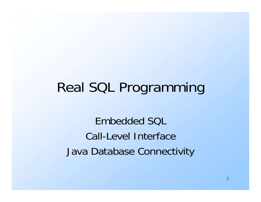## Real SQL Programming

Embedded SQLCall-Level InterfaceJava Database Connectivity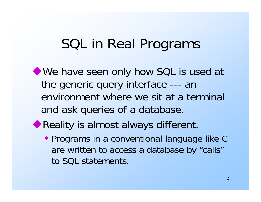## SQL in Real Programs

- We have seen only how SQL is used at the generic query interface --- an environment where we sit at a terminal and ask queries of a database.
- ◆ Reality is almost always different.
	- Programs in a conventional language like C are written to access a database by "calls" to SQL statements.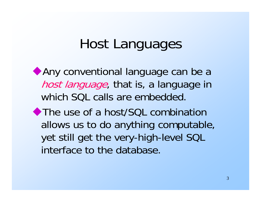## Host Languages

Any conventional language can be a host language, that is, a language in which SQL calls are embedded.

◆ The use of a host/SQL combination allows us to do anything computable, yet still get the very-high-level SQL interface to the database.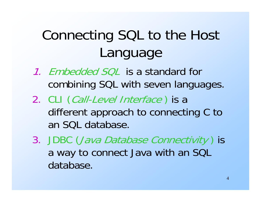# Connecting SQL to the Host Language

- 1. *Embedded SQL* is a standard for combining SQL with seven languages.
- 2. CLI (*Call-Level Interface* ) is a different approach to connecting C to an SQL database.
- 3. JDBC (Java Database Connectivity ) is a way to connect Java with an SQL database.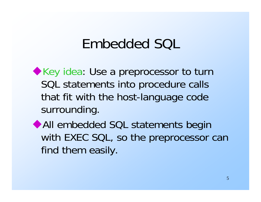## Embedded SQL

Key idea: Use a preprocessor to turn SQL statements into procedure calls that fit with the host-language code surrounding.

All embedded SQL statements begin with EXEC SQL, so the preprocessor can find them easily.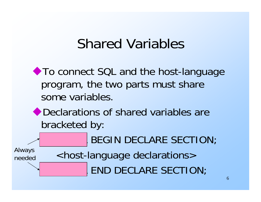### Shared Variables

◆ To connect SQL and the host-language program, the two parts must share some variables.

#### ◆ Declarations of shared variables are bracketed by:

BEGIN DECLARE SECTION;

Always needed

<host-language declarations> END DECLARE SECTION;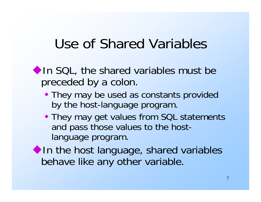# Use of Shared Variables

- In SQL, the shared variables must be preceded by a colon.
	- They may be used as constants provided by the host-language program.
	- They may get values from SQL statements and pass those values to the hostlanguage program.
- In the host language, shared variables behave like any other variable.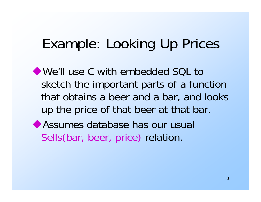# Example: Looking Up Prices

We'll use C with embedded SOL to sketch the important parts of a function that obtains a beer and a bar, and looks up the price of that beer at that bar.

Assumes database has our usual Sells(bar, beer, price) relation.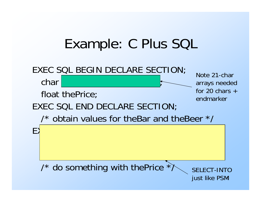## Example: C Plus SQL

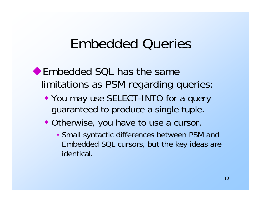#### Embedded Queries

◆Embedded SQL has the same limitations as PSM regarding queries:

- You may use SELECT-INTO for a query guaranteed to produce a single tuple.
- Otherwise, you have to use a cursor.
	- Small syntactic differences between PSM and Embedded SQL cursors, but the key ideas are identical.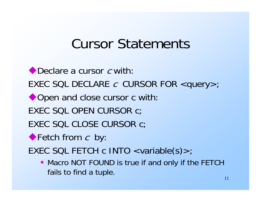## Cursor Statements

◆ Declare a cursor c with: <code>EXEC SQL</code> <code>DECLARE</code>  $\it c$  <code>CURSOR FOR</code> <query>; ◆ Open and close cursor c with: EXEC SQL OPEN CURSOR c; EXEC SQL CLOSE CURSOR c; Fetch from c by: EXEC SQL FETCH c INTO <variable(s)>; • Macro NOT FOUND is true if and only if the FETCH

fails to find a tuple.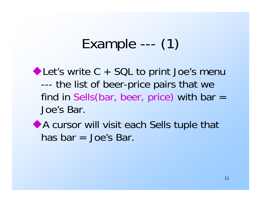## Example --- (1)

Let's write C + SQL to print Joe's menu -- the list of beer-price pairs that we find in Sells(bar, beer, price) with bar  $=$ Joe's Bar.

A cursor will visit each Sells tuple that has bar = Joe's Bar.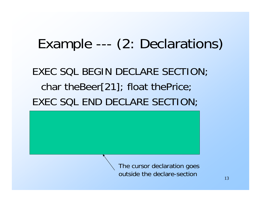# Example --- (2: Declarations)

#### EXEC SQL BEGIN DECLARE SECTION; char theBeer[21]; float thePrice; EXEC SQL END DECLARE SECTION;

 $E\in\mathbb{R}^{n\times n}$  . The contract of  $\mathbb{R}^{n\times n}$  declare c cursos  $\mathbb{R}^{n\times n}$  . The contract of  $\mathbb{R}^{n\times n}$ 

The cursor declaration goes outside the declare-section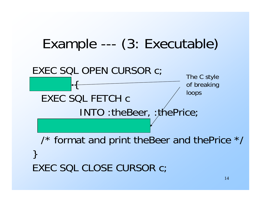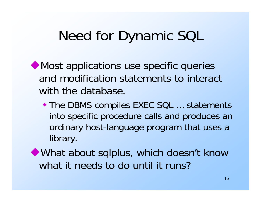## Need for Dynamic SQL

- Most applications use specific queries and modification statements to interact with the database.
	- **The DBMS compiles EXEC SQL ... statements** into specific procedure calls and produces an ordinary host-language program that uses a library.
- What about sqlplus, which doesn't know what it needs to do until it runs?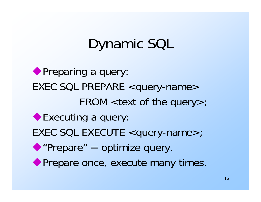# Dynamic SQL

◆ Preparing a query: EXEC SQL PREPARE <query-name>  $FROM$  <text of the query $>$ ; ◆ Executing a query: EXEC SQL EXECUTE <query-name>; "Prepare" = optimize query. ◆ Prepare once, execute many times.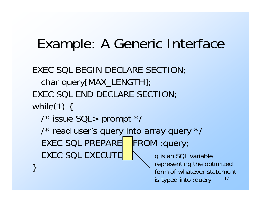### Example: A Generic Interface

EXEC SQL BEGIN DECLARE SECTION; char query[MAX\_LENGTH]; EXEC SQL END DECLARE SECTION; while $(1)$  { /\* issue SQL> prompt \*/ /\* read user's query into array query \*/ EXEC SQL PREPARE FROM :query; EXEC SQL EXECUTE

}

17q is an SQL variable representing the optimized form of whatever statement is typed into :query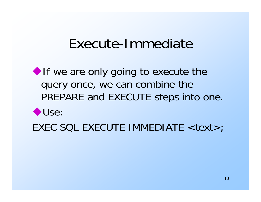#### Execute-Immediate

 $\blacktriangleright$  If we are only going to execute the query once, we can combine the PREPARE and EXECUTE steps into one.

#### Use:

EXEC SQL EXECUTE IMMEDIATE <text>;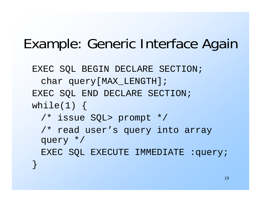## Example: Generic Interface Again

```
EXEC SQL BEGIN DECLARE SECTION;
 char query[MAX_LENGTH];
EXEC SQL END DECLARE SECTION;
while(1) {
  /* issue SQL> prompt */
  /* read user's query into array 
 query */
 EXEC SQL EXECUTE IMMEDIATE :query;
}<br>}
```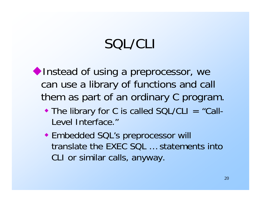# SQL/CLI

Instead of using a preprocessor, we can use a library of functions and call them as part of an ordinary C program.

- The library for C is called SQL/CLI = "Call-Level Interface."
- Embedded SQL's preprocessor will translate the EXEC SQL … statements into CLI or similar calls, anyway.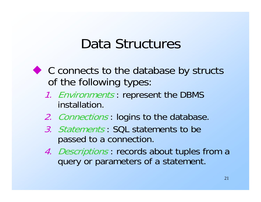#### Data Structures

- ◆ C connects to the database by structs of the following types:
	- 1. Environments: represent the DBMS installation.
	- 2. Connections: logins to the database.
	- 3. Statements : SQL statements to be passed to a connection.
	- 4. Descriptions : records about tuples from a query or parameters of a statement.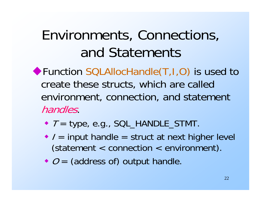# Environments, Connections, and Statements

- ◆ Function SQLAllocHandle(T, I, O) is used to create these structs, which are called environment, connection, and statement handles.
	- $\blacktriangleright$   $\top$  = type, e.g., SQL\_HANDLE\_STMT.
	- $\bullet$  / = input handle = struct at next higher level (statement < connection < environment).
	- $\bullet$   $O =$  (address of) output handle.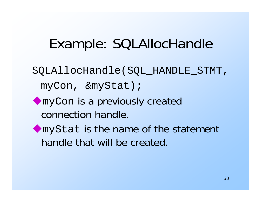## Example: SQLAllocHandle

- SQLAllocHandle(SQL\_HANDLE\_STMT,
	- myCon, &myStat);
- myCon is a previously created connection handle.
- myStat is the name of the statement handle that will be created.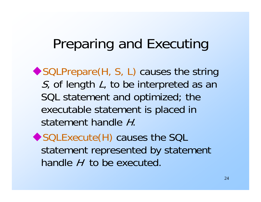## Preparing and Executing

- ◆ SQLPrepare(H, S, L) causes the string S, of length L, to be interpreted as an SQL statement and optimized; the executable statement is placed in statement handle H.
- ◆ SQLExecute(H) causes the SQL statement represented by statement handle  $H$  to be executed.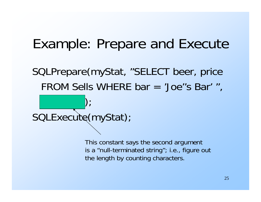### Example: Prepare and Execute

SQLPrepare(myStat, "SELECT beer, price FROM Sells WHERE bar = 'Joe''s Bar' ",

 $\mathcal{S}(\mathcal{S})$  , and  $\mathcal{S}(\mathcal{S})$  , and  $\mathcal{S}(\mathcal{S})$ SQLExecute(myStat);

> This constant says the second argument is a "null-terminated string"; i.e., figure out the length by counting characters.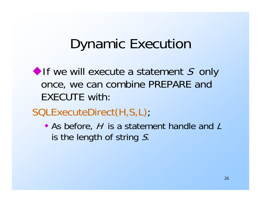## Dynamic Execution

- If we will execute a statement S only once, we can combine PREPARE and EXECUTE with:
- SQLExecuteDirect(H,S,L);
	- $\bullet$  As before, H is a statement handle and L is the length of string  $S$ .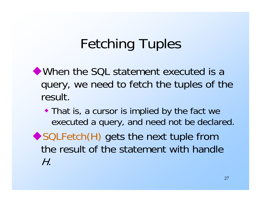# Fetching Tuples

- When the SQL statement executed is a query, we need to fetch the tuples of the result.
	- That is, a cursor is implied by the fact we executed a query, and need not be declared.
- ◆ SQLFetch(H) gets the next tuple from the result of the statement with handle H.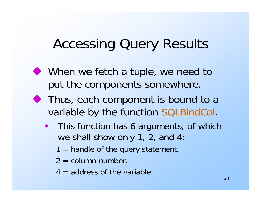# Accessing Query Results

- When we fetch a tuple, we need to put the components somewhere.
- ◆ Thus, each component is bound to a variable by the function SQLBindCol.
	- ♦ This function has 6 arguments, of which we shall show only 1, 2, and 4:
		- $1 =$  handle of the query statement.
		- $2 =$  column number.
		- $4 =$  address of the variable.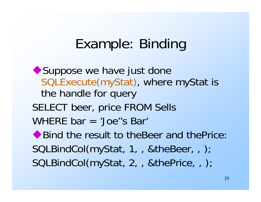#### Example: Binding

◆ Suppose we have just done SQLExecute(myStat), where myStat is the handle for query SELECT beer, price FROM Sells WHERE bar = 'Joe''s Bar' ◆ Bind the result to theBeer and thePrice: SQLBindCol(myStat, 1, , &theBeer, , ); SQLBindCol(myStat, 2, , &thePrice, , );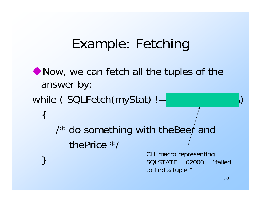## Example: Fetching

```
• Now, we can fetch all the tuples of the
  answer by:
while (SOLFetch(myStat) !={
      \prime^* do something with theBeer and
          thePrice */
                               } CLI macro representing SQLSTATE = 02000 = "failed
                               to find a tuple."
```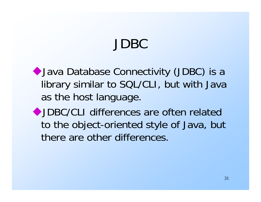# JDBC

Java Database Connectivity (JDBC) is a library similar to SQL/CLI, but with Java as the host language.

JDBC/CLI differences are often related to the object-oriented style of Java, but there are other differences.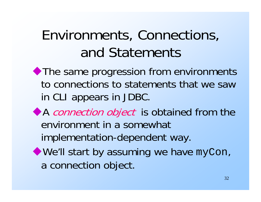# Environments, Connections, and Statements

- The same progression from environments to connections to statements that we saw in CLI appears in JDBC.
- A connection object is obtained from the environment in a somewhat implementation-dependent way.
- We'll start by assuming we have myCon, a connection object.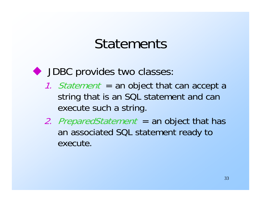#### **Statements**

DBC provides two classes:

- 1. Statement = an object that can accept a string that is an SQL statement and can execute such a string.
- 2. PreparedStatement = an object that has an associated SQL statement ready to execute.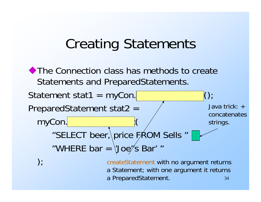## Creating Statements

The Connection class has methods to create Statements and PreparedStatements.

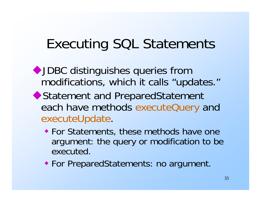# Executing SQL Statements

- JDBC distinguishes queries from modifications, which it calls "updates."
- ◆ Statement and PreparedStatement each have methods executeQuery and executeUpdate.
	- For Statements, these methods have one argument: the query or modification to be executed.
	- For PreparedStatements: no argument.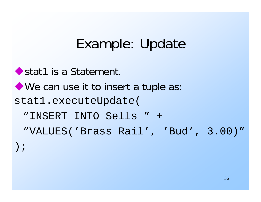## Example: Update

```
◆ stat1 is a Statement.
We can use it to insert a tuple as:
stat1.executeUpdate(
 "INSERT INTO Sells " +
 "VALUES('Brass Rail', 'Bud', 3.00)"
);
```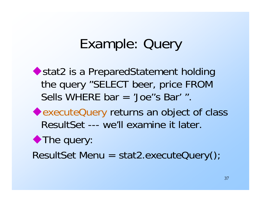### Example: Query

◆ stat2 is a PreparedStatement holding the query "SELECT beer, price FROM Sells WHERE bar = 'Joe''s Bar' ".

executeQuery returns an object of class ResultSet --- we'll examine it later.

#### ◆ The query:

ResultSet Menu = stat2.executeQuery();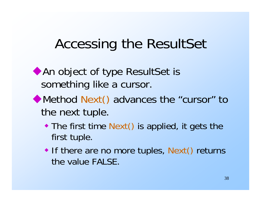# Accessing the ResultSet

- An object of type ResultSet is something like a cursor.
- Method Next() advances the "cursor" to the next tuple.
	- The first time Next() is applied, it gets the first tuple.
	- If there are no more tuples, Next() returns the value FALSE.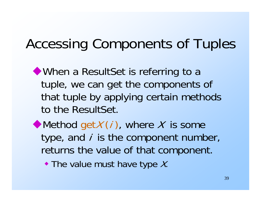## Accessing Components of Tuples

When a ResultSet is referring to a tuple, we can get the components of that tuple by applying certain methods to the ResultSet.

 $\blacklozenge$  Method get $X(i)$ , where X is some type, and  $i$  is the component number, returns the value of that component.

 $\bullet$  The value must have type X.